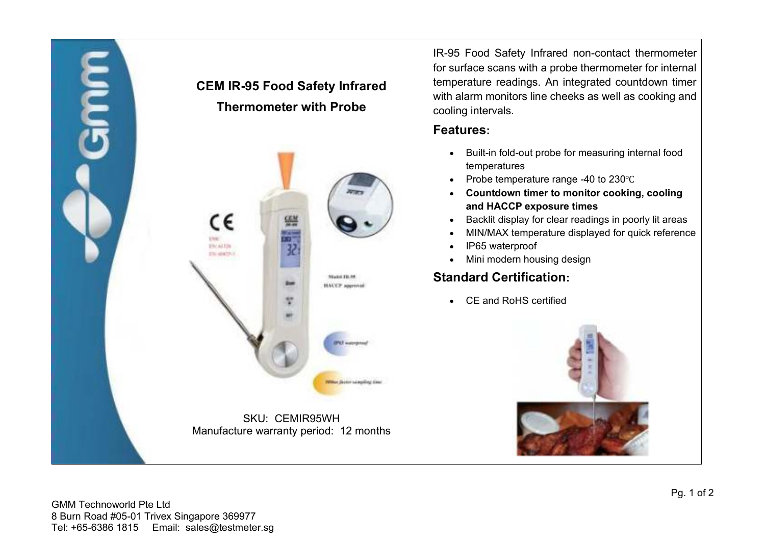

IR-95 Food Safety Infrared non-contact thermometer for surface scans with a probe thermometer for internal temperature readings. An integrated countdown timer with alarm monitors line cheeks as well as cooking and cooling intervals.

#### **Features:**

- Built-in fold-out probe for measuring internal food temperatures
- Probe temperature range -40 to 230℃
- **Countdown timer to monitor cooking, cooling and HACCP exposure times**
- Backlit display for clear readings in poorly lit areas
- MIN/MAX temperature displayed for quick reference
- IP65 waterproof
- Mini modern housing design

# **Standard Certification:**

• CE and RoHS certified